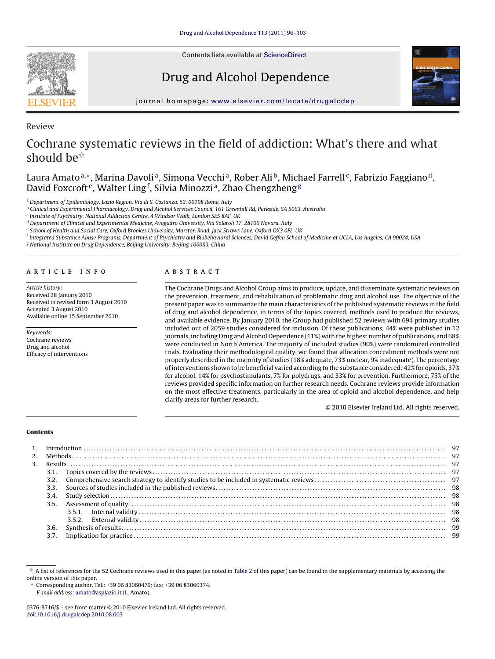

Review

Contents lists available at [ScienceDirect](http://www.sciencedirect.com/science/journal/03768716)

# Drug and Alcohol Dependence



journal homepage: [www.elsevier.com/locate/drugalcdep](http://www.elsevier.com/locate/drugalcdep)

# Cochrane systematic reviews in the field of addiction: What's there and what should be $\mathbb{R}$

# Laura Amato<sup>a,</sup>\*, Marina Davoli<sup>a</sup>, Simona Vecchi<sup>a</sup>, Rober Ali<sup>b</sup>, Michael Farrell<sup>c</sup>, Fabrizio Faggiano<sup>d</sup>, David Foxcroft $\rm ^e$ , Walter Ling $\rm ^f$ , Silvia Minozzi $\rm ^a$ , Zhao Chengzheng $\rm ^g$

<sup>a</sup> Department of Epidemiology, Lazio Region, Via di S. Costanza, 53, 00198 Rome, Italy

<sup>b</sup> Clinical and Experimental Pharmacology, Drug and Alcohol Services Council, 161 Greenhill Rd, Parkside, SA 5063, Australia

 $\,^{\rm c}$  Institute of Psychiatry, National Addiction Centre, 4 Windsor Walk, London SE5 8AF, UK

<sup>d</sup> Department of Clinical and Experimental Medicine, Avogadro University, Via Solaroli 17, 28100 Novara, Italy

e School of Health and Social Care, Oxford Brookes University, Marston Road, Jack Straws Lane, Oxford OX3 OFL, UK

<sup>f</sup> Integrated Substance Abuse Programs, Department of Psychiatry and Biobehavioral Sciences, David Geffen School of Medicine at UCLA, Los Angeles, CA 90024, USA

<sup>g</sup> National Institute on Drug Dependence, Beijing University, Beijing 100083, China

# article info

Article history: Received 28 January 2010 Received in revised form 3 August 2010 Accepted 3 August 2010 Available online 15 September 2010

Keywords: Cochrane reviews Drug and alcohol Efficacy of interventions

# **ABSTRACT**

The Cochrane Drugs and Alcohol Group aims to produce, update, and disseminate systematic reviews on the prevention, treatment, and rehabilitation of problematic drug and alcohol use. The objective of the present paper was to summarize the main characteristics of the published systematic reviews in the field of drug and alcohol dependence, in terms of the topics covered, methods used to produce the reviews, and available evidence. By January 2010, the Group had published 52 reviews with 694 primary studies included out of 2059 studies considered for inclusion. Of these publications, 44% were published in 12 journals, including Drug and Alcohol Dependence (11%) with the highest number of publications, and 68% were conducted in North America. The majority of included studies (90%) were randomized controlled trials. Evaluating their methodological quality, we found that allocation concealment methods were not properly described in the majority of studies (18% adequate, 73% unclear, 9% inadequate). The percentage of interventions shown to be beneficial varied according to the substance considered: 42% for opioids, 37% for alcohol, 14% for psychostimulants, 7% for polydrugs, and 33% for prevention. Furthermore, 75% of the reviews provided specific information on further research needs. Cochrane reviews provide information on the most effective treatments, particularly in the area of opioid and alcohol dependence, and help clarify areas for further research.

© 2010 Elsevier Ireland Ltd. All rights reserved.

#### **Contents**

| 3.6. |  |  |  |  |  |  |
|------|--|--|--|--|--|--|
|      |  |  |  |  |  |  |

- ∗ Corresponding author. Tel.: +39 06 83060479; fax: +39 06 83060374. E-mail address: [amato@asplazio.it](mailto:amato@asplazio.it) (L. Amato).
- 0376-8716/\$ see front matter © 2010 Elsevier Ireland Ltd. All rights reserved. doi:[10.1016/j.drugalcdep.2010.08.003](dx.doi.org/10.1016/j.drugalcdep.2010.08.003)

 $\hat{\star}$  A list of references for the 52 Cochrane reviews used in this paper (as noted in [Table 2](#page-3-0) of this paper) can be found in the supplementary materials by accessing the online version of this paper.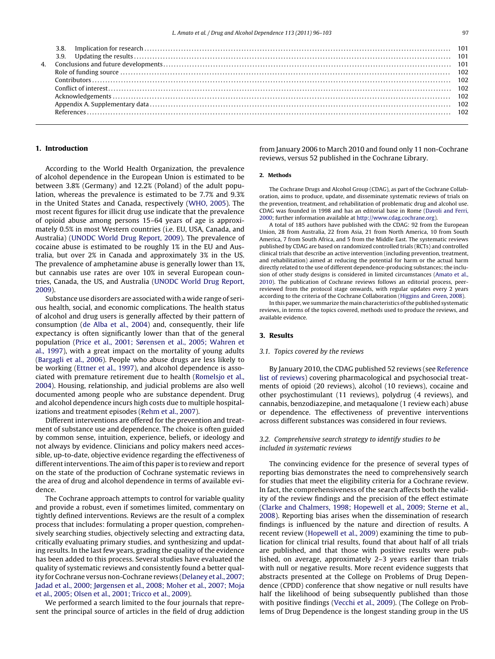| $Contributors \dots 102$ |  |
|--------------------------|--|
|                          |  |
|                          |  |
|                          |  |
|                          |  |
|                          |  |
|                          |  |

# **1. Introduction**

According to the World Health Organization, the prevalence of alcohol dependence in the European Union is estimated to be between 3.8% (Germany) and 12.2% (Poland) of the adult population, whereas the prevalence is estimated to be 7.7% and 9.3% in the United States and Canada, respectively [\(WHO, 2005\).](#page-7-0) The most recent figures for illicit drug use indicate that the prevalence of opioid abuse among persons 15–64 years of age is approximately 0.5% in most Western countries (i.e. EU, USA, Canada, and Australia) [\(UNODC World Drug Report, 2009\).](#page-7-0) The prevalence of cocaine abuse is estimated to be roughly 1% in the EU and Australia, but over 2% in Canada and approximately 3% in the US. The prevalence of amphetamine abuse is generally lower than 1%, but cannabis use rates are over 10% in several European countries, Canada, the US, and Australia ([UNODC World Drug Report,](#page-7-0) [2009\).](#page-7-0)

Substance use disorders are associated with a wide range of serious health, social, and economic complications. The health status of alcohol and drug users is generally affected by their pattern of consumption ([de Alba et al., 2004\)](#page-6-0) and, consequently, their life expectancy is often significantly lower than that of the general population ([Price et al., 2001; Sørensen et al., 2005; Wahren et](#page-6-0) [al., 1997\),](#page-6-0) with a great impact on the mortality of young adults ([Bargagli et al., 2006\).](#page-6-0) People who abuse drugs are less likely to be working [\(Ettner et al., 1997\),](#page-6-0) and alcohol dependence is associated with premature retirement due to health [\(Romelsjo et al.,](#page-7-0) [2004\).](#page-7-0) Housing, relationship, and judicial problems are also well documented among people who are substance dependent. Drug and alcohol dependence incurs high costs due to multiple hospitalizations and treatment episodes ([Rehm et al., 2007\).](#page-7-0)

Different interventions are offered for the prevention and treatment of substance use and dependence. The choice is often guided by common sense, intuition, experience, beliefs, or ideology and not always by evidence. Clinicians and policy makers need accessible, up-to-date, objective evidence regarding the effectiveness of different interventions. The aim of this paper is to review and report on the state of the production of Cochrane systematic reviews in the area of drug and alcohol dependence in terms of available evidence.

The Cochrane approach attempts to control for variable quality and provide a robust, even if sometimes limited, commentary on tightly defined interventions. Reviews are the result of a complex process that includes: formulating a proper question, comprehensively searching studies, objectively selecting and extracting data, critically evaluating primary studies, and synthesizing and updating results. In the last few years, grading the quality of the evidence has been added to this process. Several studies have evaluated the quality of systematic reviews and consistently found a better quality for Cochrane versus non-Cochrane reviews [\(Delaney et al., 2007;](#page-6-0) [Jadad et al., 2000; Jørgensen et al., 2008; Moher et al., 2007; Moja](#page-6-0) [et al., 2005; Olsen et al., 2001; Tricco et al., 2009\).](#page-6-0)

We performed a search limited to the four journals that represent the principal source of articles in the field of drug addiction from January 2006 to March 2010 and found only 11 non-Cochrane reviews, versus 52 published in the Cochrane Library.

#### **2. Methods**

The Cochrane Drugs and Alcohol Group (CDAG), as part of the Cochrane Collaboration, aims to produce, update, and disseminate systematic reviews of trials on the prevention, treatment, and rehabilitation of problematic drug and alcohol use. CDAG was founded in 1998 and has an editorial base in Rome [\(Davoli and Ferri,](#page-6-0) [2000; f](#page-6-0)urther information available at [http://www.cdag.cochrane.org](http://www.cdag.cochrane.org/)).

A total of 185 authors have published with the CDAG: 92 from the European Union, 28 from Australia, 22 from Asia, 21 from North America, 10 from South America, 7 from South Africa, and 5 from the Middle East. The systematic reviews published by CDAG are based on randomized controlled trials (RCTs) and controlled clinical trials that describe an active intervention (including prevention, treatment, and rehabilitation) aimed at reducing the potential for harm or the actual harm directly related to the use of different dependence-producing substances; the inclusion of other study designs is considered in limited circumstances [\(Amato et al.,](#page-6-0) [2010\).](#page-6-0) The publication of Cochrane reviews follows an editorial process, peerreviewed from the protocol stage onwards, with regular updates every 2 years according to the criteria of the Cochrane Collaboration ([Higgins and Green, 2008\).](#page-6-0)

In this paper, we summarize the main characteristics of the published systematic reviews, in terms of the topics covered, methods used to produce the reviews, and available evidence.

### **3. Results**

#### 3.1. Topics covered by the reviews

By January 2010, the CDAG published 52 reviews (see [Reference](#page-6-0) [list of reviews\)](#page-6-0) covering pharmacological and psychosocial treatments of opioid (20 reviews), alcohol (10 reviews), cocaine and other psychostimulant (11 reviews), polydrug (4 reviews), and cannabis, benzodiazepine, and metaqualone (1 review each) abuse or dependence. The effectiveness of preventive interventions across different substances was considered in four reviews.

# 3.2. Comprehensive search strategy to identify studies to be included in systematic reviews

The convincing evidence for the presence of several types of reporting bias demonstrates the need to comprehensively search for studies that meet the eligibility criteria for a Cochrane review. In fact, the comprehensiveness of the search affects both the validity of the review findings and the precision of the effect estimate [\(Clarke and Chalmers, 1998; Hopewell et al., 2009; Sterne et al.,](#page-6-0) [2008\).](#page-6-0) Reporting bias arises when the dissemination of research findings is influenced by the nature and direction of results. A recent review ([Hopewell et al., 2009\)](#page-6-0) examining the time to publication for clinical trial results, found that about half of all trials are published, and that those with positive results were published, on average, approximately 2–3 years earlier than trials with null or negative results. More recent evidence suggests that abstracts presented at the College on Problems of Drug Dependence (CPDD) conference that show negative or null results have half the likelihood of being subsequently published than those with positive findings [\(Vecchi et al., 2009\).](#page-7-0) (The College on Problems of Drug Dependence is the longest standing group in the US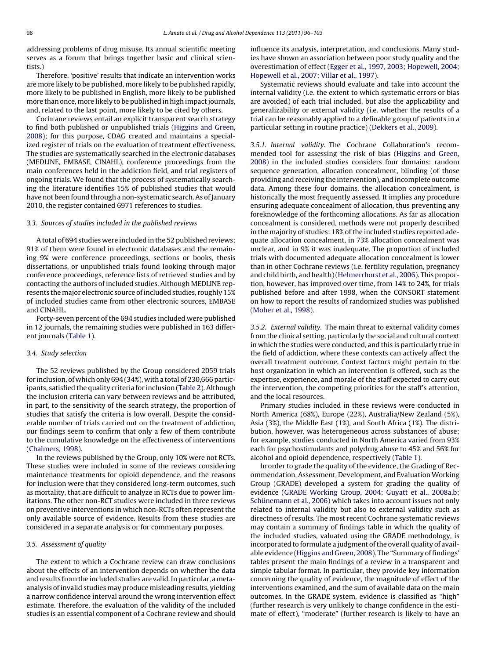addressing problems of drug misuse. Its annual scientific meeting serves as a forum that brings together basic and clinical scientists.)

Therefore, 'positive' results that indicate an intervention works are more likely to be published, more likely to be published rapidly, more likely to be published in English, more likely to be published more than once, more likely to be published in high impact journals, and, related to the last point, more likely to be cited by others.

Cochrane reviews entail an explicit transparent search strategy to find both published or unpublished trials [\(Higgins and Green,](#page-6-0) [2008\);](#page-6-0) for this purpose, CDAG created and maintains a specialized register of trials on the evaluation of treatment effectiveness. The studies are systematically searched in the electronic databases (MEDLINE, EMBASE, CINAHL), conference proceedings from the main conferences held in the addiction field, and trial registers of ongoing trials. We found that the process of systematically searching the literature identifies 15% of published studies that would have not been found through a non-systematic search. As of January 2010, the register contained 6971 references to studies.

#### 3.3. Sources of studies included in the published reviews

A total of 694 studies were included in the 52 published reviews; 91% of them were found in electronic databases and the remaining 9% were conference proceedings, sections or books, thesis dissertations, or unpublished trials found looking through major conference proceedings, reference lists of retrieved studies and by contacting the authors of included studies. Although MEDLINE represents the major electronic source of included studies, roughly 15% of included studies came from other electronic sources, EMBASE and CINAHL.

Forty-seven percent of the 694 studies included were published in 12 journals, the remaining studies were published in 163 different journals ([Table 1\).](#page-3-0)

#### 3.4. Study selection

The 52 reviews published by the Group considered 2059 trials for inclusion, of which only 694 (34%), with a total of 230,666 participants, satisfied the quality criteria for inclusion ([Table 2\).](#page-3-0) Although the inclusion criteria can vary between reviews and be attributed, in part, to the sensitivity of the search strategy, the proportion of studies that satisfy the criteria is low overall. Despite the considerable number of trials carried out on the treatment of addiction, our findings seem to confirm that only a few of them contribute to the cumulative knowledge on the effectiveness of interventions ([Chalmers, 1998\).](#page-6-0)

In the reviews published by the Group, only 10% were not RCTs. These studies were included in some of the reviews considering maintenance treatments for opioid dependence, and the reasons for inclusion were that they considered long-term outcomes, such as mortality, that are difficult to analyze in RCTs due to power limitations. The other non-RCT studies were included in three reviews on preventive interventions in which non-RCTs often represent the only available source of evidence. Results from these studies are considered in a separate analysis or for commentary purposes.

## 3.5. Assessment of quality

The extent to which a Cochrane review can draw conclusions about the effects of an intervention depends on whether the data and results from the included studies are valid. In particular, ametaanalysis of invalid studies may produce misleading results, yielding a narrow confidence interval around the wrong intervention effect estimate. Therefore, the evaluation of the validity of the included studies is an essential component of a Cochrane review and should

influence its analysis, interpretation, and conclusions. Many studies have shown an association between poor study quality and the overestimation of effect [\(Egger et al., 1997, 2003; Hopewell, 2004;](#page-6-0) [Hopewell et al., 2007; Villar et al., 1997\).](#page-6-0)

Systematic reviews should evaluate and take into account the internal validity (i.e. the extent to which systematic errors or bias are avoided) of each trial included, but also the applicability and generalizability or external validity (i.e. whether the results of a trial can be reasonably applied to a definable group of patients in a particular setting in routine practice) ([Dekkers et al., 2009\).](#page-6-0)

3.5.1. Internal validity. The Cochrane Collaboration's recommended tool for assessing the risk of bias [\(Higgins and Green,](#page-6-0) [2008\)](#page-6-0) in the included studies considers four domains: random sequence generation, allocation concealment, blinding (of those providing and receiving the intervention), and incomplete outcome data. Among these four domains, the allocation concealment, is historically the most frequently assessed. It implies any procedure ensuring adequate concealment of allocation, thus preventing any foreknowledge of the forthcoming allocations. As far as allocation concealment is considered, methods were not properly described in the majority of studies: 18% of the included studies reported adequate allocation concealment, in 73% allocation concealment was unclear, and in 9% it was inadequate. The proportion of included trials with documented adequate allocation concealment is lower than in other Cochrane reviews (i.e. fertility regulation, pregnancy and child birth, and health) ([Helmerrhorst et al., 2006\).](#page-6-0) This proportion, however, has improved over time, from 14% to 24%, for trials published before and after 1998, when the CONSORT statement on how to report the results of randomized studies was published [\(Moher et al., 1998\).](#page-6-0)

3.5.2. External validity. The main threat to external validity comes from the clinical setting, particularly the social and cultural context in which the studies were conducted, and this is particularly true in the field of addiction, where these contexts can actively affect the overall treatment outcome. Context factors might pertain to the host organization in which an intervention is offered, such as the expertise, experience, and morale of the staff expected to carry out the intervention, the competing priorities for the staff's attention, and the local resources.

Primary studies included in these reviews were conducted in North America (68%), Europe (22%), Australia/New Zealand (5%), Asia (3%), the Middle East (1%), and South Africa (1%). The distribution, however, was heterogeneous across substances of abuse; for example, studies conducted in North America varied from 93% each for psychostimulants and polydrug abuse to 45% and 56% for alcohol and opioid dependence, respectively [\(Table 1\).](#page-3-0)

In order to grade the quality of the evidence, the Grading of Recommendation, Assessment, Development, and Evaluation Working Group (GRADE) developed a system for grading the quality of evidence [\(GRADE Working Group, 2004; Guyatt et al., 2008a,b;](#page-6-0) [Schünemann et al., 2006\)](#page-6-0) which takes into account issues not only related to internal validity but also to external validity such as directness of results. The most recent Cochrane systematic reviews may contain a summary of findings table in which the quality of the included studies, valuated using the GRADE methodology, is incorporated to formulate a judgment of the overall quality of available evidence ([Higgins and Green, 2008\).](#page-6-0) The "Summary of findings' tables present the main findings of a review in a transparent and simple tabular format. In particular, they provide key information concerning the quality of evidence, the magnitude of effect of the interventions examined, and the sum of available data on the main outcomes. In the GRADE system, evidence is classified as "high" (further research is very unlikely to change confidence in the estimate of effect), "moderate" (further research is likely to have an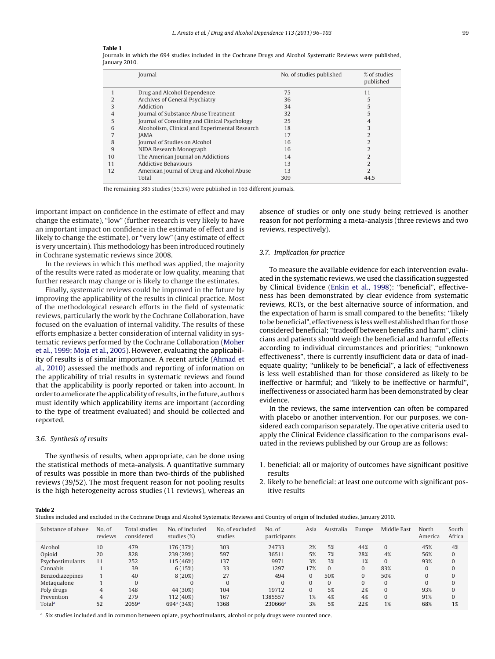#### <span id="page-3-0"></span>**Table 1**

|    | Journal                                        | No. of studies published | % of studies<br>published |
|----|------------------------------------------------|--------------------------|---------------------------|
|    | Drug and Alcohol Dependence                    | 75                       | 11                        |
|    | Archives of General Psychiatry                 | 36                       |                           |
| ζ  | Addiction                                      | 34                       |                           |
| 4  | Journal of Substance Abuse Treatment           | 32                       |                           |
| 5  | Journal of Consulting and Clinical Psychology  | 25                       |                           |
| 6  | Alcoholism, Clinical and Experimental Research | 18                       | 3                         |
|    | <b>IAMA</b>                                    | 17                       |                           |
| 8  | Journal of Studies on Alcohol                  | 16                       |                           |
| 9  | NIDA Research Monograph                        | 16                       |                           |
| 10 | The American Journal on Addictions             | 14                       |                           |
| 11 | <b>Addictive Behaviours</b>                    | 13                       | ำ                         |
| 12 | American Journal of Drug and Alcohol Abuse     | 13                       | 2                         |
|    | Total                                          | 309                      | 44.5                      |

Journals in which the 694 studies included in the Cochrane Drugs and Alcohol Systematic Reviews were published, January 2010.

The remaining 385 studies (55.5%) were published in 163 different journals.

important impact on confidence in the estimate of effect and may change the estimate), "low" (further research is very likely to have an important impact on confidence in the estimate of effect and is likely to change the estimate), or "very low" (any estimate of effect is very uncertain). This methodology has been introduced routinely in Cochrane systematic reviews since 2008.

In the reviews in which this method was applied, the majority of the results were rated as moderate or low quality, meaning that further research may change or is likely to change the estimates.

Finally, systematic reviews could be improved in the future by improving the applicability of the results in clinical practice. Most of the methodological research efforts in the field of systematic reviews, particularly the work by the Cochrane Collaboration, have focused on the evaluation of internal validity. The results of these efforts emphasize a better consideration of internal validity in systematic reviews performed by the Cochrane Collaboration [\(Moher](#page-6-0) [et al., 1999; Moja et al., 2005\).](#page-6-0) However, evaluating the applicability of results is of similar importance. A recent article ([Ahmad et](#page-6-0) [al., 2010\)](#page-6-0) assessed the methods and reporting of information on the applicability of trial results in systematic reviews and found that the applicability is poorly reported or taken into account. In order to ameliorate the applicability of results, in the future, authors must identify which applicability items are important (according to the type of treatment evaluated) and should be collected and reported.

#### 3.6. Synthesis of results

The synthesis of results, when appropriate, can be done using the statistical methods of meta-analysis. A quantitative summary of results was possible in more than two-thirds of the published reviews (39/52). The most frequent reason for not pooling results is the high heterogeneity across studies (11 reviews), whereas an absence of studies or only one study being retrieved is another reason for not performing a meta-analysis (three reviews and two reviews, respectively).

# 3.7. Implication for practice

To measure the available evidence for each intervention evaluated in the systematic reviews, we used the classification suggested by Clinical Evidence [\(Enkin et al., 1998\):](#page-6-0) "beneficial", effectiveness has been demonstrated by clear evidence from systematic reviews, RCTs, or the best alternative source of information, and the expectation of harm is small compared to the benefits; "likely to be beneficial", effectiveness is less well established than for those considered beneficial; "tradeoff between benefits and harm", clinicians and patients should weigh the beneficial and harmful effects according to individual circumstances and priorities; "unknown effectiveness", there is currently insufficient data or data of inadequate quality; "unlikely to be beneficial", a lack of effectiveness is less well established than for those considered as likely to be ineffective or harmful; and "likely to be ineffective or harmful", ineffectiveness or associated harm has been demonstrated by clear evidence.

In the reviews, the same intervention can often be compared with placebo or another intervention. For our purposes, we considered each comparison separately. The operative criteria used to apply the Clinical Evidence classification to the comparisons evaluated in the reviews published by our Group are as follows:

- 1. beneficial: all or majority of outcomes have significant positive results
- 2. likely to be beneficial: at least one outcome with significant positive results

#### **Table 2**

| Studies included and excluded in the Cochrane Drugs and Alcohol Systematic Reviews and Country of origin of Included studies, January 2010. |  |
|---------------------------------------------------------------------------------------------------------------------------------------------|--|
|---------------------------------------------------------------------------------------------------------------------------------------------|--|

| Substance of abuse | No. of<br>reviews | Total studies<br>considered | No. of included<br>studies $(\%)$ | No. of excluded<br>studies | No. of<br>participants | Asia     | Australia | Europe   | Middle East | North<br>America | South<br>Africa |
|--------------------|-------------------|-----------------------------|-----------------------------------|----------------------------|------------------------|----------|-----------|----------|-------------|------------------|-----------------|
| Alcohol            | 10                | 479                         | 176 (37%)                         | 303                        | 24733                  | 2%       | 5%        | 44%      | $\Omega$    | 45%              | 4%              |
| Opioid             | 20                | 828                         | 239 (29%)                         | 597                        | 36511                  | 5%       | 7%        | 28%      | 4%          | 56%              | $\mathbf{0}$    |
| Psychostimulants   | 11                | 252                         | 115 (46%)                         | 137                        | 9971                   | 3%       | 3%        | 1%       | $\Omega$    | 93%              | $\Omega$        |
| Cannabis           |                   | 39                          | 6(15%)                            | 33                         | 1297                   | 17%      | $\Omega$  | $\Omega$ | 83%         |                  | $\Omega$        |
| Benzodiazepines    |                   | 40                          | 8(20%)                            | 27                         | 494                    | $\Omega$ | 50%       | $\Omega$ | 50%         |                  |                 |
| Metaqualone        |                   | $\Omega$                    |                                   | O                          | $\Omega$               |          | $\Omega$  | $\Omega$ | $\Omega$    |                  |                 |
| Poly drugs         | 4                 | 148                         | 44 (30%)                          | 104                        | 19712                  |          | 5%        | 2%       | $\Omega$    | 93%              | $\Omega$        |
| Prevention         | 4                 | 279                         | 112 (40%)                         | 167                        | 1385557                | 1%       | 4%        | 4%       | $\Omega$    | 91%              | $\Omega$        |
| Total <sup>a</sup> | 52                | 2059 <sup>a</sup>           | $694a$ (34%)                      | 1368                       | 230666 <sup>a</sup>    | 3%       | 5%        | 22%      | 1%          | 68%              | 1%              |

<sup>a</sup> Six studies included and in common between opiate, psychostimulants, alcohol or poly drugs were counted once.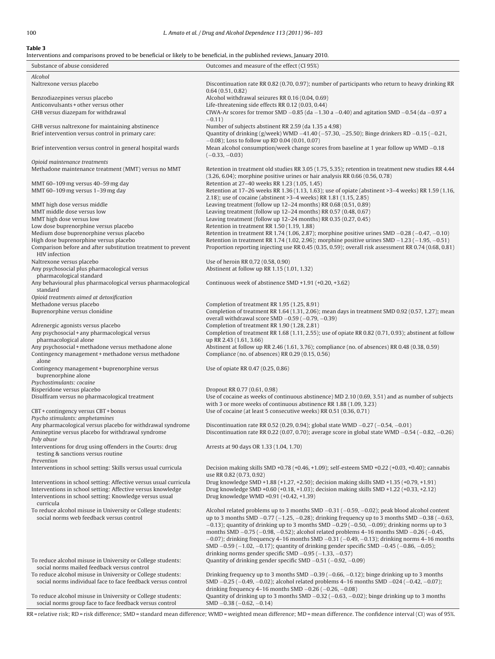#### <span id="page-4-0"></span>**Table 3** Interventions and comparisons proved to be beneficial or likely to be beneficial, in the published reviews, January 2010.

| Substance of abuse considered                                                                                                                                            | Outcomes and measure of the effect (CI 95%)                                                                                                                                                                                                                                                                                                                                                                                                                                                                                                                                                                                   |  |  |  |  |
|--------------------------------------------------------------------------------------------------------------------------------------------------------------------------|-------------------------------------------------------------------------------------------------------------------------------------------------------------------------------------------------------------------------------------------------------------------------------------------------------------------------------------------------------------------------------------------------------------------------------------------------------------------------------------------------------------------------------------------------------------------------------------------------------------------------------|--|--|--|--|
| Alcohol<br>Naltrexone versus placebo                                                                                                                                     | Discontinuation rate RR 0.82 (0.70, 0.97); number of participants who return to heavy drinking RR<br>0.64(0.51, 0.82)                                                                                                                                                                                                                                                                                                                                                                                                                                                                                                         |  |  |  |  |
| Benzodiazepines versus placebo                                                                                                                                           | Alcohol withdrawal seizures RR 0.16 (0.04, 0.69)                                                                                                                                                                                                                                                                                                                                                                                                                                                                                                                                                                              |  |  |  |  |
| Anticonvulsants + other versus other<br>GHB versus diazepam for withdrawal                                                                                               | Life-threatening side effects RR 0.12 (0.03, 0.44)<br>CIWA-Ar scores for tremor SMD $-0.85$ (da $-1.30$ a $-0.40$ ) and agitation SMD $-0.54$ (da $-0.97$ a                                                                                                                                                                                                                                                                                                                                                                                                                                                                   |  |  |  |  |
|                                                                                                                                                                          | $-0.11)$                                                                                                                                                                                                                                                                                                                                                                                                                                                                                                                                                                                                                      |  |  |  |  |
| GHB versus naltrexone for maintaining abstinence<br>Brief intervention versus control in primary care:                                                                   | Number of subjects abstinent RR 2.59 (da 1.35 a 4.98)<br>Quantity of drinking (g/week) WMD $-41.40$ ( $-57.30$ , $-25.50$ ); Binge drinkers RD $-0.15$ ( $-0.21$ ,                                                                                                                                                                                                                                                                                                                                                                                                                                                            |  |  |  |  |
|                                                                                                                                                                          | $-0.08$ ); Loss to follow up RD 0.04 (0.01, 0.07)                                                                                                                                                                                                                                                                                                                                                                                                                                                                                                                                                                             |  |  |  |  |
| Brief intervention versus control in general hospital wards                                                                                                              | Mean alcohol consumption/week change scores from baseline at 1 year follow up WMD $-0.18$<br>$(-0.33, -0.03)$                                                                                                                                                                                                                                                                                                                                                                                                                                                                                                                 |  |  |  |  |
| Opioid maintenance treatments                                                                                                                                            |                                                                                                                                                                                                                                                                                                                                                                                                                                                                                                                                                                                                                               |  |  |  |  |
| Methadone maintenance treatment (MMT) versus no MMT                                                                                                                      | Retention in treatment old studies RR 3.05 (1.75, 5.35); retention in treatment new studies RR 4.44<br>(3.26, 6.04); morphine positive urines or hair analysis RR 0.66 (0.56, 0.78)                                                                                                                                                                                                                                                                                                                                                                                                                                           |  |  |  |  |
| MMT 60-109 mg versus 40-59 mg day                                                                                                                                        | Retention at 27-40 weeks RR 1.23 (1.05, 1.45)                                                                                                                                                                                                                                                                                                                                                                                                                                                                                                                                                                                 |  |  |  |  |
| MMT 60-109 mg versus 1-39 mg day                                                                                                                                         | Retention at 17–26 weeks RR 1.36 (1.13, 1.63); use of opiate (abstinent >3–4 weeks) RR 1.59 (1.16,<br>2.18); use of cocaine (abstinent >3–4 weeks) RR 1.81 (1.15, 2.85)                                                                                                                                                                                                                                                                                                                                                                                                                                                       |  |  |  |  |
| MMT high dose versus middle                                                                                                                                              | Leaving treatment (follow up $12-24$ months) RR 0.68 (0.51, 0.89)                                                                                                                                                                                                                                                                                                                                                                                                                                                                                                                                                             |  |  |  |  |
| MMT middle dose versus low                                                                                                                                               | Leaving treatment (follow up 12-24 months) RR 0.57 (0.48, 0.67)                                                                                                                                                                                                                                                                                                                                                                                                                                                                                                                                                               |  |  |  |  |
| MMT high dose versus low<br>Low dose buprenorphine versus placebo                                                                                                        | Leaving treatment (follow up 12-24 months) RR 0.35 (0.27, 0.45)<br>Retention in treatment RR 1.50 (1.19, 1.88)                                                                                                                                                                                                                                                                                                                                                                                                                                                                                                                |  |  |  |  |
| Medium dose buprenorphine versus placebo                                                                                                                                 | Retention in treatment RR 1.74 (1.06, 2.87); morphine positive urines SMD $-0.28$ ( $-0.47$ , $-0.10$ )                                                                                                                                                                                                                                                                                                                                                                                                                                                                                                                       |  |  |  |  |
| High dose buprenorphine versus placebo<br>Comparison before and after substitution treatment to prevent                                                                  | Retention in treatment RR 1.74 (1.02, 2.96); morphine positive urines SMD $-1.23$ ( $-1.95$ , $-0.51$ )<br>Proportion reporting injecting use RR 0.45 (0.35, 0.59); overall risk assessment RR 0.74 (0.68, 0.81)                                                                                                                                                                                                                                                                                                                                                                                                              |  |  |  |  |
| <b>HIV</b> infection<br>Naltrexone versus placebo                                                                                                                        | Use of heroin RR 0,72 (0.58, 0.90)                                                                                                                                                                                                                                                                                                                                                                                                                                                                                                                                                                                            |  |  |  |  |
| Any psychosocial plus pharmacological versus                                                                                                                             | Abstinent at follow up RR 1.15 (1.01, 1.32)                                                                                                                                                                                                                                                                                                                                                                                                                                                                                                                                                                                   |  |  |  |  |
| pharmacological standard<br>Any behavioural plus pharmacological versus pharmacological                                                                                  | Continuous week of abstinence $SMD +1.91 (+0.20, +3.62)$                                                                                                                                                                                                                                                                                                                                                                                                                                                                                                                                                                      |  |  |  |  |
| standard                                                                                                                                                                 |                                                                                                                                                                                                                                                                                                                                                                                                                                                                                                                                                                                                                               |  |  |  |  |
| Opioid treatments aimed at detoxification<br>Methadone versus placebo                                                                                                    | Completion of treatment RR 1.95 (1.25, 8.91)                                                                                                                                                                                                                                                                                                                                                                                                                                                                                                                                                                                  |  |  |  |  |
| Buprenorphine versus clonidine                                                                                                                                           | Completion of treatment RR 1.64 (1.31, 2.06); mean days in treatment SMD 0.92 (0.57, 1.27); mean                                                                                                                                                                                                                                                                                                                                                                                                                                                                                                                              |  |  |  |  |
| Adrenergic agonists versus placebo                                                                                                                                       | overall withdrawal score SMD $-0.59$ ( $-0.79$ , $-0.39$ )<br>Completion of treatment RR 1.90 (1.28, 2.81)                                                                                                                                                                                                                                                                                                                                                                                                                                                                                                                    |  |  |  |  |
| Any psychosocial + any pharmacological versus                                                                                                                            | Completion of treatment RR 1.68 (1.11, 2.55); use of opiate RR 0.82 (0.71, 0.93); abstinent at follow                                                                                                                                                                                                                                                                                                                                                                                                                                                                                                                         |  |  |  |  |
| pharmacological alone                                                                                                                                                    | up RR 2.43 (1.61, 3.66)                                                                                                                                                                                                                                                                                                                                                                                                                                                                                                                                                                                                       |  |  |  |  |
| Any psychosocial + methadone versus methadone alone<br>Contingency management + methadone versus methadone<br>alone                                                      | Abstinent at follow up RR 2.46 (1.61, 3.76); compliance (no. of absences) RR 0.48 (0.38, 0.59)<br>Compliance (no. of absences) RR 0.29 (0.15, 0.56)                                                                                                                                                                                                                                                                                                                                                                                                                                                                           |  |  |  |  |
| Contingency management + buprenorphine versus                                                                                                                            | Use of opiate RR 0.47 (0.25, 0.86)                                                                                                                                                                                                                                                                                                                                                                                                                                                                                                                                                                                            |  |  |  |  |
| buprenorphine alone<br>Psychostimulants: cocaine                                                                                                                         |                                                                                                                                                                                                                                                                                                                                                                                                                                                                                                                                                                                                                               |  |  |  |  |
| Risperidone versus placebo                                                                                                                                               | Dropout RR 0.77 (0.61, 0.98)                                                                                                                                                                                                                                                                                                                                                                                                                                                                                                                                                                                                  |  |  |  |  |
| Disulfiram versus no pharmacological treatment                                                                                                                           | Use of cocaine as weeks of continuous abstinence) MD 2.10 (0.69, 3.51) and as number of subjects<br>with 3 or more weeks of continuous abstinence RR 1.88 (1.09, 3.23)                                                                                                                                                                                                                                                                                                                                                                                                                                                        |  |  |  |  |
| CBT + contingency versus CBT + bonus                                                                                                                                     | Use of cocaine (at least 5 consecutive weeks) RR 0.51 (0.36, 0.71)                                                                                                                                                                                                                                                                                                                                                                                                                                                                                                                                                            |  |  |  |  |
| Psycho stimulants: amphetamines                                                                                                                                          |                                                                                                                                                                                                                                                                                                                                                                                                                                                                                                                                                                                                                               |  |  |  |  |
| Any pharmacological versus placebo for withdrawal syndrome<br>Amineptine versus placebo for withdrawal syndrome<br>Poly abuse                                            | Discontinuation rate RR 0.52 (0.29, 0.94); global state WMD $-0.27$ ( $-0.54$ , $-0.01$ )<br>Discontinuation rate RR 0.22 (0.07, 0.70); average score in global state WMD $-0.54$ ( $-0.82$ , $-0.26$ )                                                                                                                                                                                                                                                                                                                                                                                                                       |  |  |  |  |
| Interventions for drug using offenders in the Courts: drug                                                                                                               | Arrests at 90 days OR 1.33 (1.04, 1.70)                                                                                                                                                                                                                                                                                                                                                                                                                                                                                                                                                                                       |  |  |  |  |
| testing & sanctions versus routine<br>Prevention                                                                                                                         |                                                                                                                                                                                                                                                                                                                                                                                                                                                                                                                                                                                                                               |  |  |  |  |
| Interventions in school setting: Skills versus usual curricula                                                                                                           | Decision making skills SMD +0.78 (+0.46, +1.09); self-esteem SMD +0.22 (+0.03, +0.40); cannabis<br>use RR 0.82 (0.73, 0.92)                                                                                                                                                                                                                                                                                                                                                                                                                                                                                                   |  |  |  |  |
| Interventions in school setting: Affective versus usual curricula                                                                                                        | Drug knowledge SMD +1.88 (+1.27, +2.50); decision making skills SMD +1.35 (+0.79, +1.91)                                                                                                                                                                                                                                                                                                                                                                                                                                                                                                                                      |  |  |  |  |
| Interventions in school setting: Affective versus knowledge<br>Interventions in school setting: Knowledge versus usual                                                   | Drug knowledge SMD +0.60 (+0.18, +1.03); decision making skills SMD +1.22 (+0.33, +2.12)<br>Drug knowledge WMD +0.91 (+0.42, +1.39)                                                                                                                                                                                                                                                                                                                                                                                                                                                                                           |  |  |  |  |
| curricula<br>To reduce alcohol misuse in University or College students:                                                                                                 | Alcohol related problems up to 3 months SMD $-0.31$ ( $-0.59$ , $-0.02$ ); peak blood alcohol content                                                                                                                                                                                                                                                                                                                                                                                                                                                                                                                         |  |  |  |  |
| social norms web feedback versus control                                                                                                                                 | up to 3 months SMD $-0.77$ ( $-1.25$ , $-0.28$ ); drinking frequency up to 3 months SMD $-0.38$ ( $-0.63$ ,<br>$-0.13$ ; quantity of drinking up to 3 months SMD $-0.29$ ( $-0.50$ , $-0.09$ ); drinking norms up to 3<br>months SMD $-0.75$ ( $-0.98$ , $-0.52$ ); alcohol related problems 4-16 months SMD $-0.26$ ( $-0.45$ ,<br>$-0.07$ ); drinking frequency 4-16 months SMD $-0.31$ ( $-0.49$ , $-0.13$ ); drinking norms 4-16 months<br>SMD $-0.59$ ( $-1.02$ , $-0.17$ ); quantity of drinking gender specific SMD $-0.45$ ( $-0.86$ , $-0.05$ );<br>drinking norms gender specific SMD $-0.95$ ( $-1.33$ , $-0.57$ ) |  |  |  |  |
| To reduce alcohol misuse in University or College students:<br>social norms mailed feedback versus control                                                               | Quantity of drinking gender specific SMD $-0.51$ ( $-0.92$ , $-0.09$ )                                                                                                                                                                                                                                                                                                                                                                                                                                                                                                                                                        |  |  |  |  |
| To reduce alcohol misuse in University or College students:                                                                                                              | Drinking frequency up to 3 months SMD $-0.39$ ( $-0.66$ , $-0.12$ ); binge drinking up to 3 months                                                                                                                                                                                                                                                                                                                                                                                                                                                                                                                            |  |  |  |  |
| social norms individual face to face feedback versus control                                                                                                             | SMD $-0.25$ ( $-0.49$ , $-0.02$ ); alcohol related problems 4-16 months SMD $-024$ ( $-0.42$ , $-0.07$ );<br>drinking frequency 4-16 months SMD $-0.26$ ( $-0.26$ , $-0.08$ )                                                                                                                                                                                                                                                                                                                                                                                                                                                 |  |  |  |  |
| To reduce alcohol misuse in University or College students:<br>social norms group face to face feedback versus control                                                   | Quantity of drinking up to 3 months SMD $-0.32$ ( $-0.63$ , $-0.02$ ); binge drinking up to 3 months<br>$SMD -0.38(-0.62, -0.14)$                                                                                                                                                                                                                                                                                                                                                                                                                                                                                             |  |  |  |  |
| RR = relative risk; RD = risk difference; SMD = standard mean difference; WMD = weighted mean difference; MD = mean difference. The confidence interval (CI) was of 95%. |                                                                                                                                                                                                                                                                                                                                                                                                                                                                                                                                                                                                                               |  |  |  |  |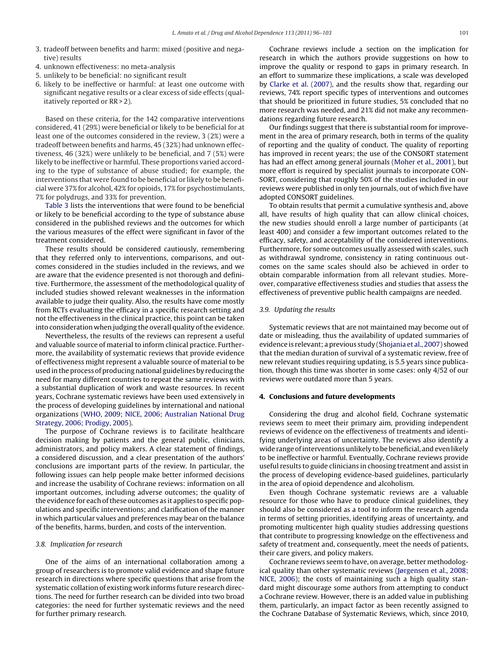- 3. tradeoff between benefits and harm: mixed (positive and negative) results
- 4. unknown effectiveness: no meta-analysis
- 5. unlikely to be beneficial: no significant result
- 6. likely to be ineffective or harmful: at least one outcome with significant negative results or a clear excess of side effects (qualitatively reported or RR > 2).

Based on these criteria, for the 142 comparative interventions considered, 41 (29%) were beneficial or likely to be beneficial for at least one of the outcomes considered in the review, 3 (2%) were a tradeoff between benefits and harms, 45 (32%) had unknown effectiveness, 46 (32%) were unlikely to be beneficial, and 7 (5%) were likely to be ineffective or harmful. These proportions varied according to the type of substance of abuse studied; for example, the interventions that were found to be beneficial or likely to be beneficial were 37% for alcohol, 42% for opioids, 17% for psychostimulants, 7% for polydrugs, and 33% for prevention.

[Table 3](#page-4-0) lists the interventions that were found to be beneficial or likely to be beneficial according to the type of substance abuse considered in the published reviews and the outcomes for which the various measures of the effect were significant in favor of the treatment considered.

These results should be considered cautiously, remembering that they referred only to interventions, comparisons, and outcomes considered in the studies included in the reviews, and we are aware that the evidence presented is not thorough and definitive. Furthermore, the assessment of the methodological quality of included studies showed relevant weaknesses in the information available to judge their quality. Also, the results have come mostly from RCTs evaluating the efficacy in a specific research setting and not the effectiveness in the clinical practice, this point can be taken into consideration when judging the overall quality of the evidence.

Nevertheless, the results of the reviews can represent a useful and valuable source of material to inform clinical practice. Furthermore, the availability of systematic reviews that provide evidence of effectiveness might represent a valuable source of material to be used in the process of producing national guidelines by reducing the need for many different countries to repeat the same reviews with a substantial duplication of work and waste resources. In recent years, Cochrane systematic reviews have been used extensively in the process of developing guidelines by international and national organizations [\(WHO, 2009; NICE, 2006; Australian National Drug](#page-7-0) [Strategy, 2006; Prodigy, 2005\).](#page-7-0)

The purpose of Cochrane reviews is to facilitate healthcare decision making by patients and the general public, clinicians, administrators, and policy makers. A clear statement of findings, a considered discussion, and a clear presentation of the authors' conclusions are important parts of the review. In particular, the following issues can help people make better informed decisions and increase the usability of Cochrane reviews: information on all important outcomes, including adverse outcomes; the quality of the evidence for each of these outcomes as it applies to specific populations and specific interventions; and clarification of the manner in which particular values and preferences may bear on the balance of the benefits, harms, burden, and costs of the intervention.

#### 3.8. Implication for research

One of the aims of an international collaboration among a group of researchers is to promote valid evidence and shape future research in directions where specific questions that arise from the systematic collation of existing work informs future research directions. The need for further research can be divided into two broad categories: the need for further systematic reviews and the need for further primary research.

Cochrane reviews include a section on the implication for research in which the authors provide suggestions on how to improve the quality or respond to gaps in primary research. In an effort to summarize these implications, a scale was developed by [Clarke et al. \(2007\), a](#page-6-0)nd the results show that, regarding our reviews, 74% report specific types of interventions and outcomes that should be prioritized in future studies, 5% concluded that no more research was needed, and 21% did not make any recommendations regarding future research.

Our findings suggest that there is substantial room for improvement in the area of primary research, both in terms of the quality of reporting and the quality of conduct. The quality of reporting has improved in recent years; the use of the CONSORT statement has had an effect among general journals [\(Moher et al., 2001\),](#page-6-0) but more effort is required by specialist journals to incorporate CON-SORT, considering that roughly 50% of the studies included in our reviews were published in only ten journals, out of which five have adopted CONSORT guidelines.

To obtain results that permit a cumulative synthesis and, above all, have results of high quality that can allow clinical choices, the new studies should enroll a large number of participants (at least 400) and consider a few important outcomes related to the efficacy, safety, and acceptability of the considered interventions. Furthermore, for some outcomes usually assessed with scales, such as withdrawal syndrome, consistency in rating continuous outcomes on the same scales should also be achieved in order to obtain comparable information from all relevant studies. Moreover, comparative effectiveness studies and studies that assess the effectiveness of preventive public health campaigns are needed.

## 3.9. Updating the results

Systematic reviews that are not maintained may become out of date or misleading, thus the availability of updated summaries of evidence is relevant; a previous study ([Shojania et al., 2007\) s](#page-7-0)howed that the median duration of survival of a systematic review, free of new relevant studies requiring updating, is 5.5 years since publication, though this time was shorter in some cases: only 4/52 of our reviews were outdated more than 5 years.

#### **4. Conclusions and future developments**

Considering the drug and alcohol field, Cochrane systematic reviews seem to meet their primary aim, providing independent reviews of evidence on the effectiveness of treatments and identifying underlying areas of uncertainty. The reviews also identify a wide range of interventions unlikely to be beneficial, and even likely to be ineffective or harmful. Eventually, Cochrane reviews provide useful results to guide clinicians in choosing treatment and assist in the process of developing evidence-based guidelines, particularly in the area of opioid dependence and alcoholism.

Even though Cochrane systematic reviews are a valuable resource for those who have to produce clinical guidelines, they should also be considered as a tool to inform the research agenda in terms of setting priorities, identifying areas of uncertainty, and promoting multicenter high quality studies addressing questions that contribute to progressing knowledge on the effectiveness and safety of treatment and, consequently, meet the needs of patients, their care givers, and policy makers.

Cochrane reviews seem to have, on average, better methodological quality than other systematic reviews ([Jørgensen et al., 2008;](#page-6-0) [NICE, 2006\);](#page-6-0) the costs of maintaining such a high quality standard might discourage some authors from attempting to conduct a Cochrane review. However, there is an added value in publishing them, particularly, an impact factor as been recently assigned to the Cochrane Database of Systematic Reviews, which, since 2010,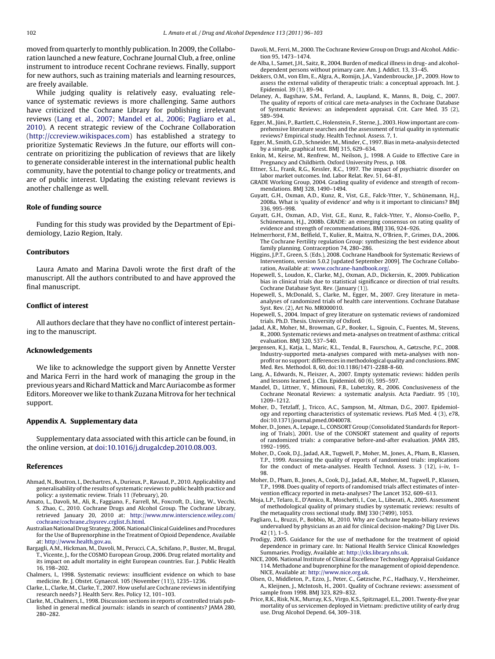<span id="page-6-0"></span>moved from quarterly to monthly publication. In 2009, the Collaboration launched a new feature, Cochrane Journal Club, a free, online instrument to introduce recent Cochrane reviews. Finally, support for new authors, such as training materials and learning resources, are freely available.

While judging quality is relatively easy, evaluating relevance of systematic reviews is more challenging. Same authors have criticized the Cochrane Library for publishing irrelevant reviews (Lang et al., 2007; Mandel et al., 2006; Pagliaro et al., 2010). A recent strategic review of the Cochrane Collaboration ([http://ccreview.wikispaces.com\)](http://ccreview.wikispaces.com/) has established a strategy to prioritize Systematic Reviews .In the future, our efforts will concentrate on prioritizing the publication of reviews that are likely to generate considerable interest in the international public health community, have the potential to change policy or treatments, and are of public interest. Updating the existing relevant reviews is another challenge as well.

## **Role of funding source**

Funding for this study was provided by the Department of Epidemiology, Lazio Region, Italy.

# **Contributors**

Laura Amato and Marina Davoli wrote the first draft of the manuscript. All the authors contributed to and have approved the final manuscript.

# **Conflict of interest**

All authors declare that they have no conflict of interest pertaining to the manuscript.

#### **Acknowledgements**

We like to acknowledge the support given by Annette Verster and Marica Ferri in the hard work of managing the group in the previous years and Richard Mattick and Marc Auriacombe as former Editors. Moreover we like to thank Zuzana Mitrova for her technical support.

# **Appendix A. Supplementary data**

Supplementary data associated with this article can be found, in the online version, at [doi:10.1016/j.drugalcdep.2010.08.003](http://dx.doi.org/10.1016/j.drugalcdep.2010.08.003).

#### **References**

- Ahmad, N., Boutron, I., Dechartres, A., Durieux, P., Ravaud, P., 2010. Applicability and generalisability of the results of systematic reviews to public health practice and policy: a systematic review. Trials 11 (February), 20.
- Amato, L., Davoli, M., Ali, R., Faggiano, F., Farrell, M., Foxcroft, D., Ling, W., Vecchi, S. Zhao, C., 2010. Cochrane Drugs and Alcohol Group. The Cochrane Library, retrieved January 20, 2010 at: [http://www.mrw.interscience.wiley.com/](http://www.mrw.interscience.wiley.com/cochrane/cochrane_clsysrev_crglist_fs.html) cochrane/cochrane clsysrev crglist fs.html.
- Australian National Drug Strategy, 2006. National Clinical Guidelines and Procedures for the Use of Buprenorphine in the Treatment of Opioid Dependence, Available at: [http://www.health.gov.au](http://www.health.gov.au/).
- Bargagli, A.M., Hickman, M., Davoli, M., Perucci, C.A., Schifano, P., Buster, M., Brugal, T., Vicente, J., for the COSMO European Group, 2006. Drug related mortality and its impact on adult mortality in eight European countries. Eur. J. Public Health 16, 198–202.
- Chalmers, I., 1998. Systematic reviews: insufficient evidence on which to base medicine. Br. J. Obstet. Gynaecol. 105 (November (11)), 1235–1236.
- Clarke, L., Clarke, M., Clarke, T., 2007. How useful are Cochrane reviews in identifying research needs? J. Health Serv. Res. Policy 12, 101–103.
- Clarke, M., Chalmers, I., 1998. Discussion sections in reports of controlled trials published in general medical journals: islands in search of continents? JAMA 280, 280–282.
- Davoli, M., Ferri, M., 2000. The Cochrane Review Group on Drugs and Alcohol. Addiction 95, 1473–1474.
- de Alba, I., Samet, J.H., Saitz, R., 2004. Burden of medical illness in drug- and alcoholdependent persons without primary care. Am. J. Addict. 13, 33–45.
- Dekkers, O.M., von Elm, E., Algra, A., Romijn, J.A., Vandenbroucke, J.P., 2009. How to assess the external validity of therapeutic trials: a conceptual approach. Int. J. Epidemiol. 39 (1), 89–94.
- Delaney, A., Bagshaw, S.M., Ferland, A., Laupland, K., Manns, B., Doig, C., 2007. The quality of reports of critical care meta-analyses in the Cochrane Database of Systematic Reviews: an independent appraisal. Crit. Care Med. 35 (2), 589–594.
- Egger, M., Jüni, P., Bartlett, C., Holenstein, F., Sterne, J., 2003. How important are comprehensive literature searches and the assessment of trial quality in systematic reviews? Empirical study. Health Technol. Assess. 7, 1.
- Egger, M., Smith, G.D., Schneider, M., Minder, C., 1997. Bias in meta-analysis detected by a simple, graphical test. BMJ 315, 629–634.
- Enkin, M., Keirse, M., Renfrew, M., Neilson, J., 1998. A Guide to Effective Care in Pregnancy and Childbirth. Oxford University Press, p. 108.
- Ettner, S.L., Frank, R.G., Kessler, R.C., 1997. The impact of psychiatric disorder on labor market outcomes. Ind. Labor Relat. Rev. 51, 64–81.
- GRADE Working Group, 2004. Grading quality of evidence and strength of recommendations. BMJ 328, 1490–1494.
- Guyatt, G.H., Oxman, A.D., Kunz, R., Vist, G.E., Falck-Ytter, Y., Schünemann, H.J., 2008a. What is 'quality of evidence' and why is it important to clinicians? BMJ 336, 995–998.
- Guyatt, G.H., Oxman, A.D., Vist, G.E., Kunz, R., Falck-Ytter, Y., Alonso-Coello, P., Schünemann, H.J., 2008b. GRADE: an emerging consensus on rating quality of evidence and strength of recommendations. BMJ 336, 924–926.
- Helmerrhorst, F.M., Belfield, T., Kulier, R., Maitra, N., O'Brien, P., Grimes, D.A., 2006. The Cochrane Fertility regulation Group: synthesizing the best evidence about family planning. Contraception 74, 280-286.
- Higgins, J.P.T., Green, S. (Eds.), 2008. Cochrane Handbook for Systematic Reviews of Interventions, version 5.0.2 [updated September 2009]. The Cochrane Collaboration, Available at: [www.cochrane-handbook.org/](http://www.cochrane-handbook.org/).
- Hopewell, S., Loudon, K., Clarke, M.J., Oxman, A.D., Dickersin, K., 2009. Publication bias in clinical trials due to statistical significance or direction of trial results. Cochrane Database Syst. Rev. (January (1)).
- Hopewell, S., McDonald, S., Clarke, M., Egger, M., 2007. Grey literature in metaanalyses of randomized trials of health care interventions. Cochrane Database Syst. Rev. (2), Art No. MR000010.
- Hopewell, S., 2004. Impact of grey literature on systematic reviews of randomized trials. Ph.D. Thesis. University of Oxford.
- Jadad, A.R., Moher, M., Browman, G.P., Booker, L., Sigouin, C., Fuentes, M., Stevens, R., 2000. Systematic reviews and meta-analyses on treatment of asthma: critical evaluation. BMJ 320, 537–540.
- Jørgensen, K.J., Katja, L., Maric, K.L., Tendal, B., Faurschou, A., Gøtzsche, P.C., 2008. Industry-supported meta-analyses compared with meta-analyses with nonprofit or no support: differences in methodological quality and conclusions. BMC Med. Res. Methodol. 8, 60, doi:10.1186/1471-2288-8-60.
- Lang, A., Edwards, N., Fleiszer, A., 2007. Empty systematic reviews: hidden perils and lessons learned. J. Clin. Epidemiol. 60 (6), 595–597.
- Mandel, D., Littner, Y., Mimouni, F.B., Lubetzky, R., 2006. Conclusiveness of the Cochrane Neonatal Reviews: a systematic analysis. Acta Paediatr. 95 (10), 1209–1212.
- Moher, D., Tetzlaff, J., Tricco, A.C., Sampson, M., Altman, D.G., 2007. Epidemiology and reporting characteristics of systematic reviews. PLoS Med. 4 (3), e78, doi:10.1371/journal.pmed.0040078.
- Moher, D., Jones, A., Lepage, L., CONSORT Group (Consolidated Standards for Reporting of Trials), 2001. Use of the CONSORT statement and quality of reports of randomized trials: a comparative before-and-after evaluation. JAMA 285, 1992–1995.
- Moher, D., Cook, D.J., Jadad, A.R., Tugwell, P., Moher, M., Jones, A., Pham, B., Klassen, T.P., 1999. Assessing the quality of reports of randomised trials: implications for the conduct of meta-analyses. Health Technol. Assess. 3 (12), i–iv, 1– 98.
- Moher, D., Pham, B., Jones, A., Cook, D.J., Jadad, A.R., Moher, M., Tugwell, P., Klassen, T.P., 1998. Does quality of reports of randomised trials affect estimates of intervention efficacy reported in meta-analyses? The Lancet 352, 609–613.
- Moja, L.P., Telaro, E., D'Amico, R., Moschetti, I., Coe, L., Liberati, A., 2005. Assessment of methodological quality of primary studies by systematic reviews: results of the metaquality cross sectional study. BMJ 330 (7499), 1053.
- Pagliaro, L., Bruzzi, P., Bobbio, M., 2010. Why are Cochrane hepato-biliary reviews undervalued by physicians as an aid for clinical decision-making? Dig Liver Dis. 42 (1), 1–5.
- Prodigy, 2005. Guidance for the use of methadone for the treatment of opioid dependence in primary care. In: National Health Service Clinical Knowledges Summaries. Prodigy, Available at: [http://cks.library.nhs.uk.](http://cks.library.nhs.uk/)
- NICE, 2006. National Institute of Clinical Excellence Technology Appraisal Guidance 114. Methadone and buprenorphine for the management of opioid dependence. NICE, Available at: [http://www.nice.org.uk](http://www.nice.org.uk/).
- Olsen, O., Middleton, P., Ezzo, J., Peter, C., Gøtzsche, P.C., Hadhazy, V., Herxheimer, A., Kleijnen, J., McIntosh, H., 2001. Quality of Cochrane reviews: assessment of sample from 1998. BMJ 323, 829–832.
- Price, R.K., Risk, N.K., Murray, K.S., Virgo, K.S., Spitznagel, E.L., 2001. Twenty-five year mortality of us servicemen deployed in Vietnam: predictive utility of early drug use. Drug Alcohol Depend. 64, 309–318.